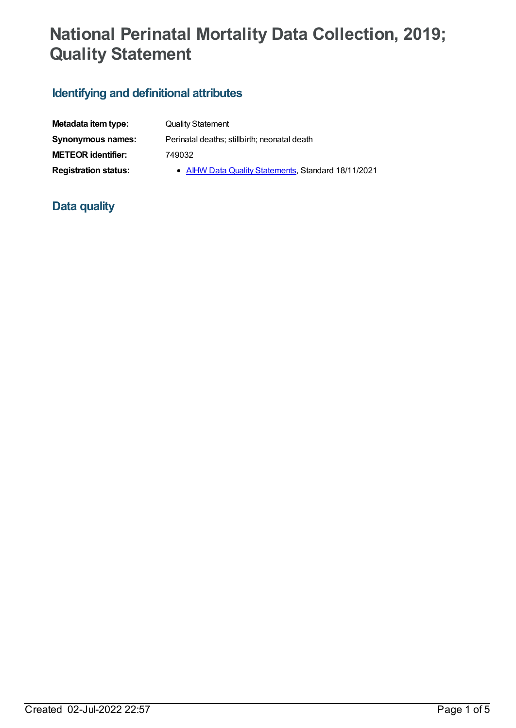# **National Perinatal Mortality Data Collection, 2019; Quality Statement**

## **Identifying and definitional attributes**

| Metadata item type:         | <b>Quality Statement</b>                            |
|-----------------------------|-----------------------------------------------------|
| Synonymous names:           | Perinatal deaths; stillbirth; neonatal death        |
| <b>METEOR identifier:</b>   | 749032                                              |
| <b>Registration status:</b> | • AIHW Data Quality Statements, Standard 18/11/2021 |

## **Data quality**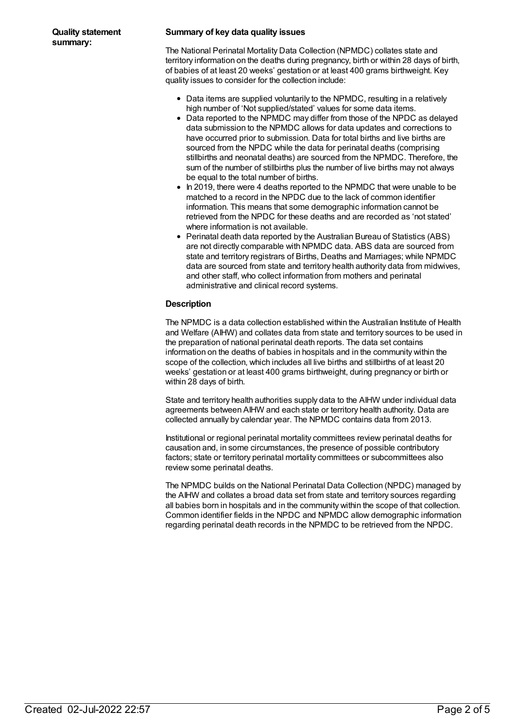#### **Summary of key data quality issues**

The National Perinatal Mortality Data Collection (NPMDC) collates state and territory information on the deaths during pregnancy, birth or within 28 days of birth, of babies of at least 20 weeks' gestation or at least 400 grams birthweight. Key quality issues to consider for the collection include:

- Data items are supplied voluntarily to the NPMDC, resulting in a relatively high number of 'Not supplied/stated' values for some data items.
- Data reported to the NPMDC may differ from those of the NPDC as delayed data submission to the NPMDC allows for data updates and corrections to have occurred prior to submission. Data for total births and live births are sourced from the NPDC while the data for perinatal deaths (comprising stillbirths and neonatal deaths) are sourced from the NPMDC. Therefore, the sum of the number of stillbirths plus the number of live births may not always be equal to the total number of births.
- $\bullet$  In 2019, there were 4 deaths reported to the NPMDC that were unable to be matched to a record in the NPDC due to the lack of common identifier information. This means that some demographic information cannot be retrieved from the NPDC for these deaths and are recorded as 'not stated' where information is not available.
- Perinatal death data reported by the Australian Bureau of Statistics (ABS) are not directly comparable with NPMDC data. ABS data are sourced from state and territory registrars of Births, Deaths and Marriages; while NPMDC data are sourced from state and territory health authority data from midwives, and other staff, who collect information from mothers and perinatal administrative and clinical record systems.

#### **Description**

The NPMDC is a data collection established within the Australian Institute of Health and Welfare (AIHW) and collates data from state and territory sources to be used in the preparation of national perinatal death reports. The data set contains information on the deaths of babies in hospitals and in the community within the scope of the collection, which includes all live births and stillbirths of at least 20 weeks' gestation or at least 400 grams birthweight, during pregnancy or birth or within 28 days of birth.

State and territory health authorities supply data to the AIHW under individual data agreements between AIHW and each state or territory health authority. Data are collected annually by calendar year. The NPMDC contains data from 2013.

Institutional or regional perinatal mortality committees review perinatal deaths for causation and, in some circumstances, the presence of possible contributory factors; state or territory perinatal mortality committees or subcommittees also review some perinatal deaths.

The NPMDC builds on the National Perinatal Data Collection (NPDC) managed by the AIHW and collates a broad data set from state and territory sources regarding all babies born in hospitals and in the community within the scope of that collection. Common identifier fields in the NPDC and NPMDC allow demographic information regarding perinatal death records in the NPMDC to be retrieved from the NPDC.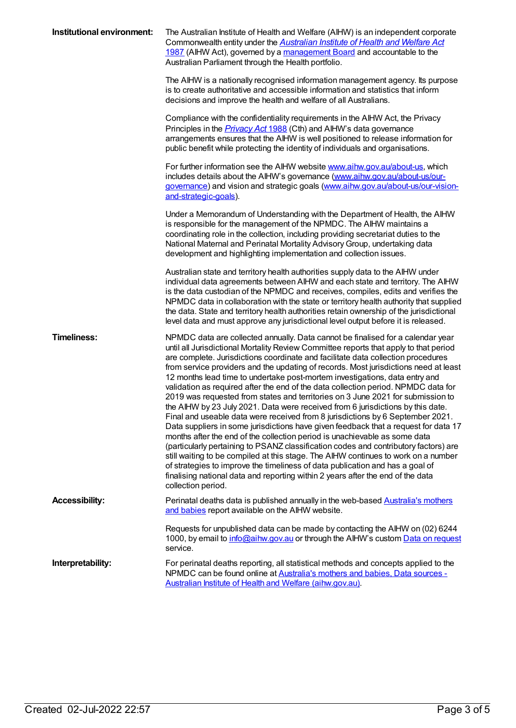| Institutional environment: | The Australian Institute of Health and Welfare (AIHW) is an independent corporate<br>Commonwealth entity under the <b>Australian Institute of Health and Welfare Act</b><br>1987 (AIHW Act), governed by a management Board and accountable to the<br>Australian Parliament through the Health portfolio.                                                                                                                                                                                                                                                                                                                                                                                                                                                                                                                                                                                                                                                                                                                                                                                                                                                                                                                                                                                                                      |
|----------------------------|--------------------------------------------------------------------------------------------------------------------------------------------------------------------------------------------------------------------------------------------------------------------------------------------------------------------------------------------------------------------------------------------------------------------------------------------------------------------------------------------------------------------------------------------------------------------------------------------------------------------------------------------------------------------------------------------------------------------------------------------------------------------------------------------------------------------------------------------------------------------------------------------------------------------------------------------------------------------------------------------------------------------------------------------------------------------------------------------------------------------------------------------------------------------------------------------------------------------------------------------------------------------------------------------------------------------------------|
|                            | The AIHW is a nationally recognised information management agency. Its purpose<br>is to create authoritative and accessible information and statistics that inform<br>decisions and improve the health and welfare of all Australians.                                                                                                                                                                                                                                                                                                                                                                                                                                                                                                                                                                                                                                                                                                                                                                                                                                                                                                                                                                                                                                                                                         |
|                            | Compliance with the confidentiality requirements in the AIHW Act, the Privacy<br>Principles in the <i>Privacy Act</i> 1988 (Cth) and AIHW's data governance<br>arrangements ensures that the AIHW is well positioned to release information for<br>public benefit while protecting the identity of individuals and organisations.                                                                                                                                                                                                                                                                                                                                                                                                                                                                                                                                                                                                                                                                                                                                                                                                                                                                                                                                                                                              |
|                            | For further information see the AIHW website <b>www.aihw.gov.au/about-us</b> , which<br>includes details about the AIHW's governance (www.aihw.gov.au/about-us/our-<br>governance) and vision and strategic goals (www.aihw.gov.au/about-us/our-vision-<br>and-strategic-goals).                                                                                                                                                                                                                                                                                                                                                                                                                                                                                                                                                                                                                                                                                                                                                                                                                                                                                                                                                                                                                                               |
|                            | Under a Memorandum of Understanding with the Department of Health, the AIHW<br>is responsible for the management of the NPMDC. The AIHW maintains a<br>coordinating role in the collection, including providing secretariat duties to the<br>National Maternal and Perinatal Mortality Advisory Group, undertaking data<br>development and highlighting implementation and collection issues.                                                                                                                                                                                                                                                                                                                                                                                                                                                                                                                                                                                                                                                                                                                                                                                                                                                                                                                                  |
|                            | Australian state and territory health authorities supply data to the AIHW under<br>individual data agreements between AIHW and each state and territory. The AIHW<br>is the data custodian of the NPMDC and receives, compiles, edits and verifies the<br>NPMDC data in collaboration with the state or territory health authority that supplied<br>the data. State and territory health authorities retain ownership of the jurisdictional<br>level data and must approve any jurisdictional level output before it is released.                                                                                                                                                                                                                                                                                                                                                                                                                                                                                                                                                                                                                                                                                                                                                                                              |
| <b>Timeliness:</b>         | NPMDC data are collected annually. Data cannot be finalised for a calendar year<br>until all Jurisdictional Mortality Review Committee reports that apply to that period<br>are complete. Jurisdictions coordinate and facilitate data collection procedures<br>from service providers and the updating of records. Most jurisdictions need at least<br>12 months lead time to undertake post-mortem investigations, data entry and<br>validation as required after the end of the data collection period. NPMDC data for<br>2019 was requested from states and territories on 3 June 2021 for submission to<br>the AIHW by 23 July 2021. Data were received from 6 jurisdictions by this date.<br>Final and useable data were received from 8 jurisdictions by 6 September 2021.<br>Data suppliers in some jurisdictions have given feedback that a request for data 17<br>months after the end of the collection period is unachievable as some data<br>(particularly pertaining to PSANZ classification codes and contributory factors) are<br>still waiting to be compiled at this stage. The AIHW continues to work on a number<br>of strategies to improve the timeliness of data publication and has a goal of<br>finalising national data and reporting within 2 years after the end of the data<br>collection period. |
| <b>Accessibility:</b>      | Perinatal deaths data is published annually in the web-based <b>Australia's mothers</b><br>and babies report available on the AIHW website.                                                                                                                                                                                                                                                                                                                                                                                                                                                                                                                                                                                                                                                                                                                                                                                                                                                                                                                                                                                                                                                                                                                                                                                    |
|                            | Requests for unpublished data can be made by contacting the AIHW on (02) 6244<br>1000, by email to info@aihw.gov.au or through the AlHW's custom Data on request<br>service.                                                                                                                                                                                                                                                                                                                                                                                                                                                                                                                                                                                                                                                                                                                                                                                                                                                                                                                                                                                                                                                                                                                                                   |
| Interpretability:          | For perinatal deaths reporting, all statistical methods and concepts applied to the<br>NPMDC can be found online at Australia's mothers and babies, Data sources -<br>Australian Institute of Health and Welfare (aihw.gov.au).                                                                                                                                                                                                                                                                                                                                                                                                                                                                                                                                                                                                                                                                                                                                                                                                                                                                                                                                                                                                                                                                                                |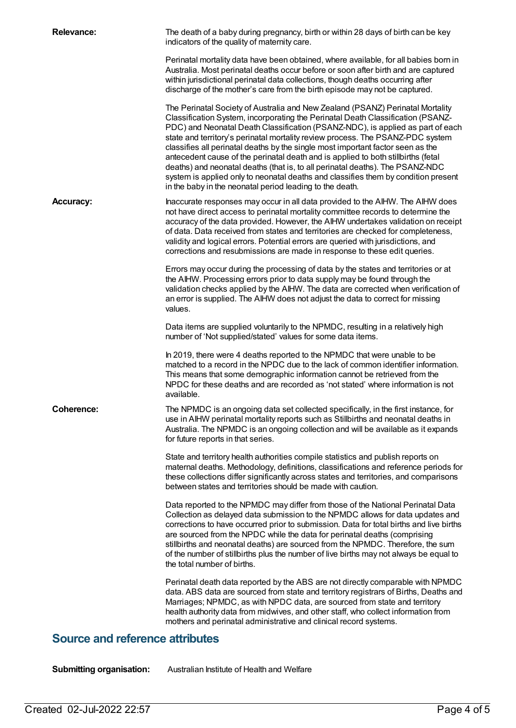| <b>Relevance:</b> | The death of a baby during pregnancy, birth or within 28 days of birth can be key<br>indicators of the quality of maternity care.                                                                                                                                                                                                                                                                                                                                                                                                                                                                                                                                                                                                                |
|-------------------|--------------------------------------------------------------------------------------------------------------------------------------------------------------------------------------------------------------------------------------------------------------------------------------------------------------------------------------------------------------------------------------------------------------------------------------------------------------------------------------------------------------------------------------------------------------------------------------------------------------------------------------------------------------------------------------------------------------------------------------------------|
|                   | Perinatal mortality data have been obtained, where available, for all babies born in<br>Australia. Most perinatal deaths occur before or soon after birth and are captured<br>within jurisdictional perinatal data collections, though deaths occurring after<br>discharge of the mother's care from the birth episode may not be captured.                                                                                                                                                                                                                                                                                                                                                                                                      |
|                   | The Perinatal Society of Australia and New Zealand (PSANZ) Perinatal Mortality<br>Classification System, incorporating the Perinatal Death Classification (PSANZ-<br>PDC) and Neonatal Death Classification (PSANZ-NDC), is applied as part of each<br>state and territory's perinatal mortality review process. The PSANZ-PDC system<br>classifies all perinatal deaths by the single most important factor seen as the<br>antecedent cause of the perinatal death and is applied to both stillbirths (fetal<br>deaths) and neonatal deaths (that is, to all perinatal deaths). The PSANZ-NDC<br>system is applied only to neonatal deaths and classifies them by condition present<br>in the baby in the neonatal period leading to the death. |
| <b>Accuracy:</b>  | Inaccurate responses may occur in all data provided to the AIHW. The AIHW does<br>not have direct access to perinatal mortality committee records to determine the<br>accuracy of the data provided. However, the AIHW undertakes validation on receipt<br>of data. Data received from states and territories are checked for completeness,<br>validity and logical errors. Potential errors are queried with jurisdictions, and<br>corrections and resubmissions are made in response to these edit queries.                                                                                                                                                                                                                                    |
|                   | Errors may occur during the processing of data by the states and territories or at<br>the AIHW. Processing errors prior to data supply may be found through the<br>validation checks applied by the AIHW. The data are corrected when verification of<br>an error is supplied. The AIHW does not adjust the data to correct for missing<br>values.                                                                                                                                                                                                                                                                                                                                                                                               |
|                   | Data items are supplied voluntarily to the NPMDC, resulting in a relatively high<br>number of 'Not supplied/stated' values for some data items.                                                                                                                                                                                                                                                                                                                                                                                                                                                                                                                                                                                                  |
|                   | In 2019, there were 4 deaths reported to the NPMDC that were unable to be<br>matched to a record in the NPDC due to the lack of common identifier information.<br>This means that some demographic information cannot be retrieved from the<br>NPDC for these deaths and are recorded as 'not stated' where information is not<br>available.                                                                                                                                                                                                                                                                                                                                                                                                     |
| <b>Coherence:</b> | The NPMDC is an ongoing data set collected specifically, in the first instance, for<br>use in AIHW perinatal mortality reports such as Stillbirths and neonatal deaths in<br>Australia. The NPMDC is an ongoing collection and will be available as it expands<br>for future reports in that series.                                                                                                                                                                                                                                                                                                                                                                                                                                             |
|                   | State and territory health authorities compile statistics and publish reports on<br>maternal deaths. Methodology, definitions, classifications and reference periods for<br>these collections differ significantly across states and territories, and comparisons<br>between states and territories should be made with caution.                                                                                                                                                                                                                                                                                                                                                                                                                 |
|                   | Data reported to the NPMDC may differ from those of the National Perinatal Data<br>Collection as delayed data submission to the NPMDC allows for data updates and<br>corrections to have occurred prior to submission. Data for total births and live births<br>are sourced from the NPDC while the data for perinatal deaths (comprising<br>stillbirths and neonatal deaths) are sourced from the NPMDC. Therefore, the sum<br>of the number of stillbirths plus the number of live births may not always be equal to<br>the total number of births.                                                                                                                                                                                            |
|                   | Perinatal death data reported by the ABS are not directly comparable with NPMDC<br>data. ABS data are sourced from state and territory registrars of Births, Deaths and<br>Marriages; NPMDC, as with NPDC data, are sourced from state and territory<br>health authority data from midwives, and other staff, who collect information from<br>mothers and perinatal administrative and clinical record systems.                                                                                                                                                                                                                                                                                                                                  |

### **Source and reference attributes**

**Submitting organisation:** Australian Institute of Health and Welfare